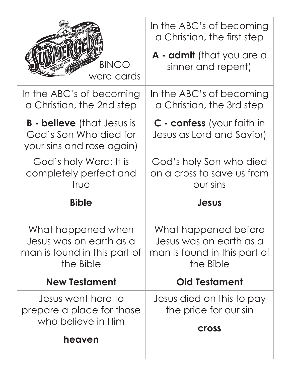|                                                                                            | In the ABC's of becoming<br>a Christian, the first step                                      |
|--------------------------------------------------------------------------------------------|----------------------------------------------------------------------------------------------|
| <b>BINGO</b><br>word cards                                                                 | A - admit (that you are a<br>sinner and repent)                                              |
| In the ABC's of becoming<br>a Christian, the 2nd step                                      | In the ABC's of becoming<br>a Christian, the 3rd step                                        |
| <b>B - believe</b> (that Jesus is<br>God's Son Who died for<br>your sins and rose again)   | C - confess (your faith in<br>Jesus as Lord and Savior)                                      |
| God's holy Word; It is<br>completely perfect and<br>true                                   | God's holy Son who died<br>on a cross to save us from<br><b>OUT SINS</b>                     |
|                                                                                            |                                                                                              |
| <b>Bible</b>                                                                               | Jesus                                                                                        |
| What happened when<br>Jesus was on earth as a<br>man is found in this part of<br>the Bible | What happened before<br>Jesus was on earth as a<br>man is found in this part of<br>the Bible |
| <b>New Testament</b>                                                                       | <b>Old Testament</b>                                                                         |
| Jesus went here to<br>prepare a place for those<br>who believe in Him                      | Jesus died on this to pay<br>the price for our sin                                           |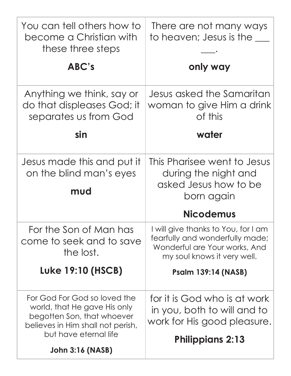| You can tell others how to<br>become a Christian with<br>these three steps                                                                               | There are not many ways<br>to heaven; Jesus is the ___                                                                                 |
|----------------------------------------------------------------------------------------------------------------------------------------------------------|----------------------------------------------------------------------------------------------------------------------------------------|
| ABC's                                                                                                                                                    | only way                                                                                                                               |
| Anything we think, say or<br>do that displeases God; it<br>separates us from God                                                                         | Jesus asked the Samaritan<br>woman to give Him a drink<br>of this                                                                      |
| sin                                                                                                                                                      | water                                                                                                                                  |
| Jesus made this and put it<br>on the blind man's eyes<br>mud                                                                                             | This Pharisee went to Jesus<br>during the night and<br>asked Jesus how to be<br>born again                                             |
|                                                                                                                                                          | <b>Nicodemus</b>                                                                                                                       |
| For the Son of Man has<br>come to seek and to save<br>the lost.                                                                                          | I will give thanks to You, for I am<br>fearfully and wonderfully made;<br>Wonderful are Your works, And<br>my soul knows it very well. |
| Luke 19:10 (HSCB)                                                                                                                                        | <b>Psalm 139:14 (NASB)</b>                                                                                                             |
| For God For God so loved the<br>world, that He gave His only<br>begotten Son, that whoever<br>believes in Him shall not perish,<br>but have eternal life | for it is God who is at work<br>in you, both to will and to<br>work for His good pleasure.<br><b>Philippians 2:13</b>                  |
| <b>John 3:16 (NASB)</b>                                                                                                                                  |                                                                                                                                        |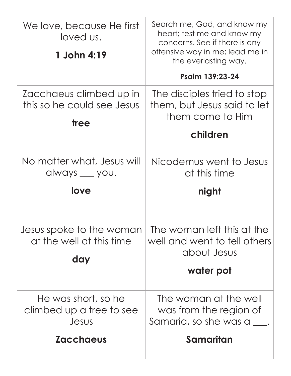| We love, because He first<br>loved us.<br>1 John 4:19         | Search me, God, and know my<br>heart; test me and know my<br>concerns. See if there is any<br>offensive way in me; lead me in<br>the everlasting way. |
|---------------------------------------------------------------|-------------------------------------------------------------------------------------------------------------------------------------------------------|
|                                                               | Psalm 139:23-24                                                                                                                                       |
| Zacchaeus climbed up in<br>this so he could see Jesus<br>tree | The disciples tried to stop<br>them, but Jesus said to let<br>them come to Him                                                                        |
|                                                               | children                                                                                                                                              |
| No matter what, Jesus will<br>always __ you.                  | Nicodemus went to Jesus<br>at this time                                                                                                               |
| love                                                          |                                                                                                                                                       |
|                                                               | night                                                                                                                                                 |
| Jesus spoke to the woman<br>at the well at this time          | The woman left this at the<br>well and went to tell others<br>about Jesus                                                                             |
| day                                                           | water pot                                                                                                                                             |
| He was short, so he<br>climbed up a tree to see<br>Jesus      | The woman at the well<br>was from the region of<br>Samaria, so she was a ___.                                                                         |